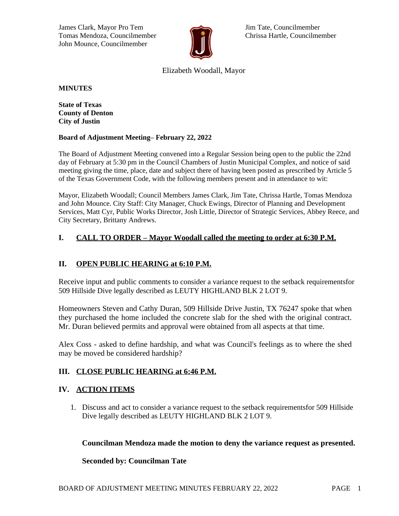James Clark, Mayor Pro Tem Jim Tate, Councilmember Tomas Mendoza, Councilmember **Chrissa Hartle, Councilmember** Chrissa Hartle, Councilmember John Mounce, Councilmember



# Elizabeth Woodall, Mayor

**MINUTES**

**State of Texas County of Denton City of Justin**

#### **Board of Adjustment Meeting– February 22, 2022**

The Board of Adjustment Meeting convened into a Regular Session being open to the public the 22nd day of February at 5:30 pm in the Council Chambers of Justin Municipal Complex, and notice of said meeting giving the time, place, date and subject there of having been posted as prescribed by Article 5 of the Texas Government Code, with the following members present and in attendance to wit:

Mayor, Elizabeth Woodall; Council Members James Clark, Jim Tate, Chrissa Hartle, Tomas Mendoza and John Mounce. City Staff: City Manager, Chuck Ewings, Director of Planning and Development Services, Matt Cyr, Public Works Director, Josh Little, Director of Strategic Services, Abbey Reece, and City Secretary, Brittany Andrews.

### **I. CALL TO ORDER – Mayor Woodall called the meeting to order at 6:30 P.M.**

# **II. OPEN PUBLIC HEARING at 6:10 P.M.**

Receive input and public comments to consider a variance request to the setback requirementsfor 509 Hillside Dive legally described as LEUTY HIGHLAND BLK 2 LOT 9.

Homeowners Steven and Cathy Duran, 509 Hillside Drive Justin, TX 76247 spoke that when they purchased the home included the concrete slab for the shed with the original contract. Mr. Duran believed permits and approval were obtained from all aspects at that time.

Alex Coss - asked to define hardship, and what was Council's feelings as to where the shed may be moved be considered hardship?

### **III. CLOSE PUBLIC HEARING at 6:46 P.M.**

### **IV. ACTION ITEMS**

1. Discuss and act to consider a variance request to the setback requirementsfor 509 Hillside Dive legally described as LEUTY HIGHLAND BLK 2 LOT 9.

### **Councilman Mendoza made the motion to deny the variance request as presented.**

### **Seconded by: Councilman Tate**